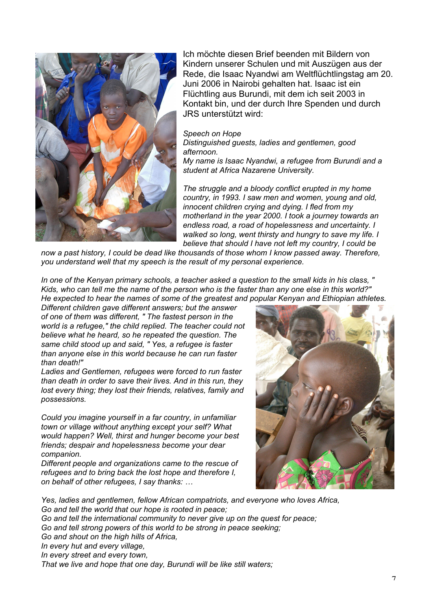

Ich möchte diesen Brief beenden mit Bildern von Kindern unserer Schulen und mit Auszügen aus der Rede, die Isaac Nyandwi am Weltflüchtlingstag am 20. Juni 2006 in Nairobi gehalten hat. Isaac ist ein Flüchtling aus Burundi, mit dem ich seit 2003 in Kontakt bin, und der durch Ihre Spenden und durch JRS unterstützt wird:

## *Speech on Hope*

*Distinguished guests, ladies and gentlemen, good afternoon.*

*My name is Isaac Nyandwi, a refugee from Burundi and a student at Africa Nazarene University.*

*The struggle and a bloody conflict erupted in my home country, in 1993. I saw men and women, young and old, innocent children crying and dying. I fled from my motherland in the year 2000. I took a journey towards an endless road, a road of hopelessness and uncertainty. I walked so long, went thirsty and hungry to save my life. I believe that should I have not left my country, I could be*

*now a past history, I could be dead like thousands of those whom I know passed away. Therefore, you understand well that my speech is the result of my personal experience.*

*In one of the Kenyan primary schools, a teacher asked a question to the small kids in his class, " Kids, who can tell me the name of the person who is the faster than any one else in this world?" He expected to hear the names of some of the greatest and popular Kenyan and Ethiopian athletes.*

*Different children gave different answers; but the answer of one of them was different, " The fastest person in the world is a refugee," the child replied. The teacher could not believe what he heard, so he repeated the question. The same child stood up and said, " Yes, a refugee is faster than anyone else in this world because he can run faster than death!"*

*Ladies and Gentlemen, refugees were forced to run faster than death in order to save their lives. And in this run, they lost every thing; they lost their friends, relatives, family and possessions.*

*Could you imagine yourself in a far country, in unfamiliar town or village without anything except your self? What would happen? Well, thirst and hunger become your best friends; despair and hopelessness become your dear companion.*

*Different people and organizations came to the rescue of refugees and to bring back the lost hope and therefore I, on behalf of other refugees, I say thanks: …*



*Yes, ladies and gentlemen, fellow African compatriots, and everyone who loves Africa, Go and tell the world that our hope is rooted in peace; Go and tell the international community to never give up on the quest for peace; Go and tell strong powers of this world to be strong in peace seeking; Go and shout on the high hills of Africa, In every hut and every village, In every street and every town, That we live and hope that one day, Burundi will be like still waters;*